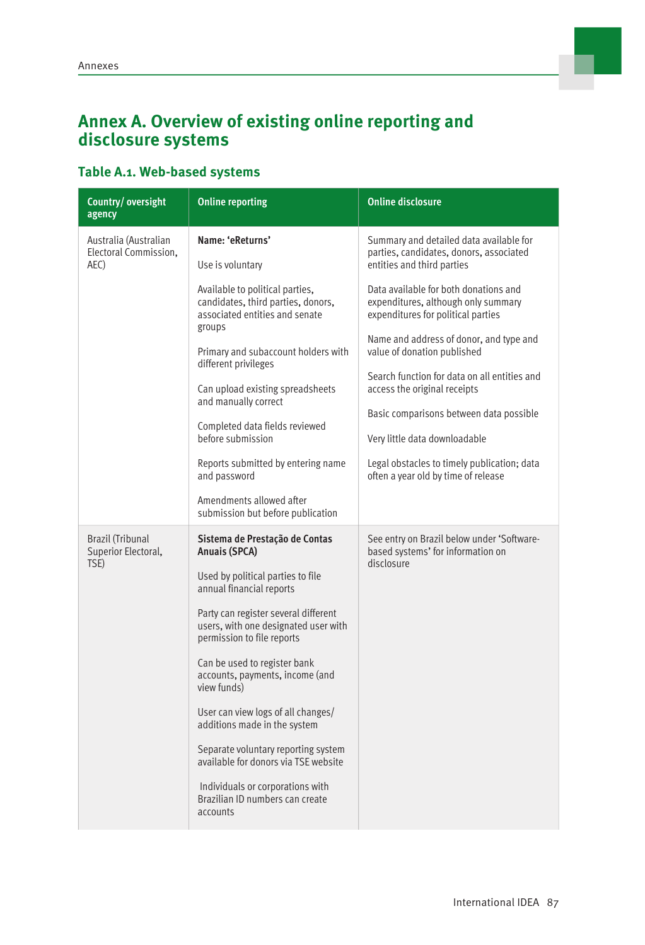### **Annex A. Overview of existing online reporting and disclosure systems**

#### **Table A.1. Web-based systems**

| Country/oversight<br>agency                            | <b>Online reporting</b>                                                                                                                                                                                                                                                                                                                                                                                                                                                                                                                                  | <b>Online disclosure</b>                                                                                                                                                                                                                                                                                                                                                                                                                                                                                                                                           |
|--------------------------------------------------------|----------------------------------------------------------------------------------------------------------------------------------------------------------------------------------------------------------------------------------------------------------------------------------------------------------------------------------------------------------------------------------------------------------------------------------------------------------------------------------------------------------------------------------------------------------|--------------------------------------------------------------------------------------------------------------------------------------------------------------------------------------------------------------------------------------------------------------------------------------------------------------------------------------------------------------------------------------------------------------------------------------------------------------------------------------------------------------------------------------------------------------------|
| Australia (Australian<br>Electoral Commission,<br>AEC) | Name: 'eReturns'<br>Use is voluntary<br>Available to political parties,<br>candidates, third parties, donors,<br>associated entities and senate<br>groups<br>Primary and subaccount holders with<br>different privileges<br>Can upload existing spreadsheets<br>and manually correct<br>Completed data fields reviewed<br>before submission<br>Reports submitted by entering name<br>and password<br>Amendments allowed after<br>submission but before publication                                                                                       | Summary and detailed data available for<br>parties, candidates, donors, associated<br>entities and third parties<br>Data available for both donations and<br>expenditures, although only summary<br>expenditures for political parties<br>Name and address of donor, and type and<br>value of donation published<br>Search function for data on all entities and<br>access the original receipts<br>Basic comparisons between data possible<br>Very little data downloadable<br>Legal obstacles to timely publication; data<br>often a year old by time of release |
| <b>Brazil (Tribunal</b><br>Superior Electoral,<br>TSE) | Sistema de Prestação de Contas<br>Anuais (SPCA)<br>Used by political parties to file<br>annual financial reports<br>Party can register several different<br>users, with one designated user with<br>permission to file reports<br>Can be used to register bank<br>accounts, payments, income (and<br>view funds)<br>User can view logs of all changes/<br>additions made in the system<br>Separate voluntary reporting system<br>available for donors via TSE website<br>Individuals or corporations with<br>Brazilian ID numbers can create<br>accounts | See entry on Brazil below under 'Software-<br>based systems' for information on<br>disclosure                                                                                                                                                                                                                                                                                                                                                                                                                                                                      |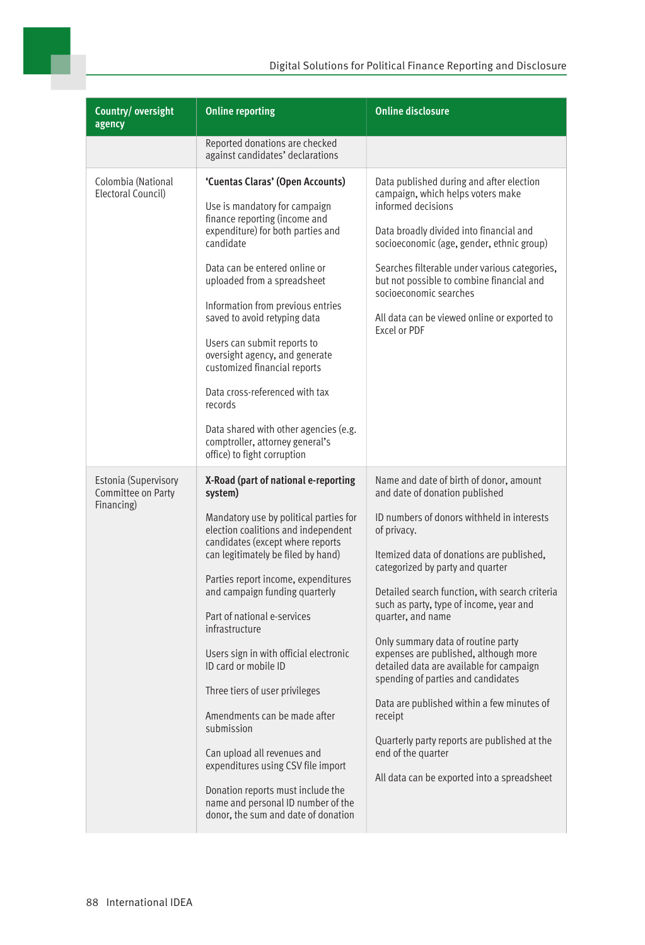

| Country/oversight<br>agency                                     | <b>Online reporting</b>                                                                                                                                                                                                                                                                                                                                                                                                                                                                                                                                                                                                                                                       | <b>Online disclosure</b>                                                                                                                                                                                                                                                                                                                                                                                                                                                                                                                                                                                                                                                                 |
|-----------------------------------------------------------------|-------------------------------------------------------------------------------------------------------------------------------------------------------------------------------------------------------------------------------------------------------------------------------------------------------------------------------------------------------------------------------------------------------------------------------------------------------------------------------------------------------------------------------------------------------------------------------------------------------------------------------------------------------------------------------|------------------------------------------------------------------------------------------------------------------------------------------------------------------------------------------------------------------------------------------------------------------------------------------------------------------------------------------------------------------------------------------------------------------------------------------------------------------------------------------------------------------------------------------------------------------------------------------------------------------------------------------------------------------------------------------|
|                                                                 | Reported donations are checked<br>against candidates' declarations                                                                                                                                                                                                                                                                                                                                                                                                                                                                                                                                                                                                            |                                                                                                                                                                                                                                                                                                                                                                                                                                                                                                                                                                                                                                                                                          |
| Colombia (National<br>Electoral Council)                        | 'Cuentas Claras' (Open Accounts)<br>Use is mandatory for campaign<br>finance reporting (income and<br>expenditure) for both parties and<br>candidate<br>Data can be entered online or<br>uploaded from a spreadsheet<br>Information from previous entries<br>saved to avoid retyping data<br>Users can submit reports to<br>oversight agency, and generate<br>customized financial reports<br>Data cross-referenced with tax<br>records<br>Data shared with other agencies (e.g.<br>comptroller, attorney general's<br>office) to fight corruption                                                                                                                            | Data published during and after election<br>campaign, which helps voters make<br>informed decisions<br>Data broadly divided into financial and<br>socioeconomic (age, gender, ethnic group)<br>Searches filterable under various categories,<br>but not possible to combine financial and<br>socioeconomic searches<br>All data can be viewed online or exported to<br>Excel or PDF                                                                                                                                                                                                                                                                                                      |
| <b>Estonia (Supervisory</b><br>Committee on Party<br>Financing) | X-Road (part of national e-reporting<br>system)<br>Mandatory use by political parties for<br>election coalitions and independent<br>candidates (except where reports<br>can legitimately be filed by hand)<br>Parties report income, expenditures<br>and campaign funding quarterly<br>Part of national e-services<br>infrastructure<br>Users sign in with official electronic<br>ID card or mobile ID<br>Three tiers of user privileges<br>Amendments can be made after<br>submission<br>Can upload all revenues and<br>expenditures using CSV file import<br>Donation reports must include the<br>name and personal ID number of the<br>donor, the sum and date of donation | Name and date of birth of donor, amount<br>and date of donation published<br>ID numbers of donors withheld in interests<br>of privacy.<br>Itemized data of donations are published,<br>categorized by party and quarter<br>Detailed search function, with search criteria<br>such as party, type of income, year and<br>quarter, and name<br>Only summary data of routine party<br>expenses are published, although more<br>detailed data are available for campaign<br>spending of parties and candidates<br>Data are published within a few minutes of<br>receipt<br>Quarterly party reports are published at the<br>end of the quarter<br>All data can be exported into a spreadsheet |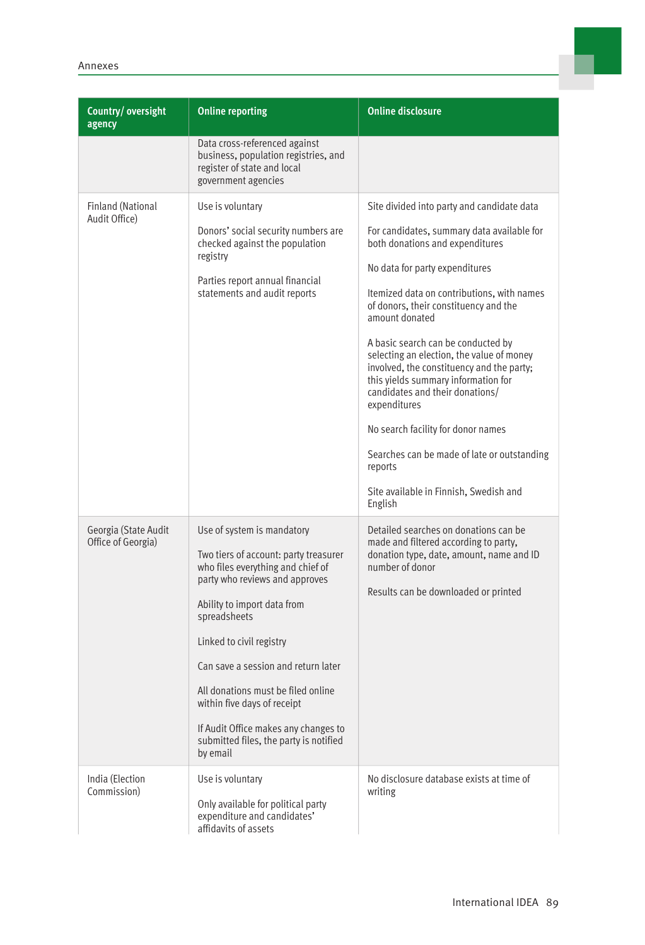| Country/oversight<br>agency                | <b>Online reporting</b>                                                                                                                                                                                                                                                                                                                                                                                                         | <b>Online disclosure</b>                                                                                                                                                                                                                                                                                                                                                                                                                                                                                                                                                                                                                              |
|--------------------------------------------|---------------------------------------------------------------------------------------------------------------------------------------------------------------------------------------------------------------------------------------------------------------------------------------------------------------------------------------------------------------------------------------------------------------------------------|-------------------------------------------------------------------------------------------------------------------------------------------------------------------------------------------------------------------------------------------------------------------------------------------------------------------------------------------------------------------------------------------------------------------------------------------------------------------------------------------------------------------------------------------------------------------------------------------------------------------------------------------------------|
|                                            | Data cross-referenced against<br>business, population registries, and<br>register of state and local<br>government agencies                                                                                                                                                                                                                                                                                                     |                                                                                                                                                                                                                                                                                                                                                                                                                                                                                                                                                                                                                                                       |
| <b>Finland (National</b><br>Audit Office)  | Use is voluntary<br>Donors' social security numbers are<br>checked against the population<br>registry<br>Parties report annual financial<br>statements and audit reports                                                                                                                                                                                                                                                        | Site divided into party and candidate data<br>For candidates, summary data available for<br>both donations and expenditures<br>No data for party expenditures<br>Itemized data on contributions, with names<br>of donors, their constituency and the<br>amount donated<br>A basic search can be conducted by<br>selecting an election, the value of money<br>involved, the constituency and the party;<br>this yields summary information for<br>candidates and their donations/<br>expenditures<br>No search facility for donor names<br>Searches can be made of late or outstanding<br>reports<br>Site available in Finnish, Swedish and<br>English |
| Georgia (State Audit<br>Office of Georgia) | Use of system is mandatory<br>Two tiers of account: party treasurer<br>who files everything and chief of<br>party who reviews and approves<br>Ability to import data from<br>spreadsheets<br>Linked to civil registry<br>Can save a session and return later<br>All donations must be filed online<br>within five days of receipt<br>If Audit Office makes any changes to<br>submitted files, the party is notified<br>by email | Detailed searches on donations can be<br>made and filtered according to party,<br>donation type, date, amount, name and ID<br>number of donor<br>Results can be downloaded or printed                                                                                                                                                                                                                                                                                                                                                                                                                                                                 |
| India (Election<br>Commission)             | Use is voluntary<br>Only available for political party<br>expenditure and candidates'<br>affidavits of assets                                                                                                                                                                                                                                                                                                                   | No disclosure database exists at time of<br>writing                                                                                                                                                                                                                                                                                                                                                                                                                                                                                                                                                                                                   |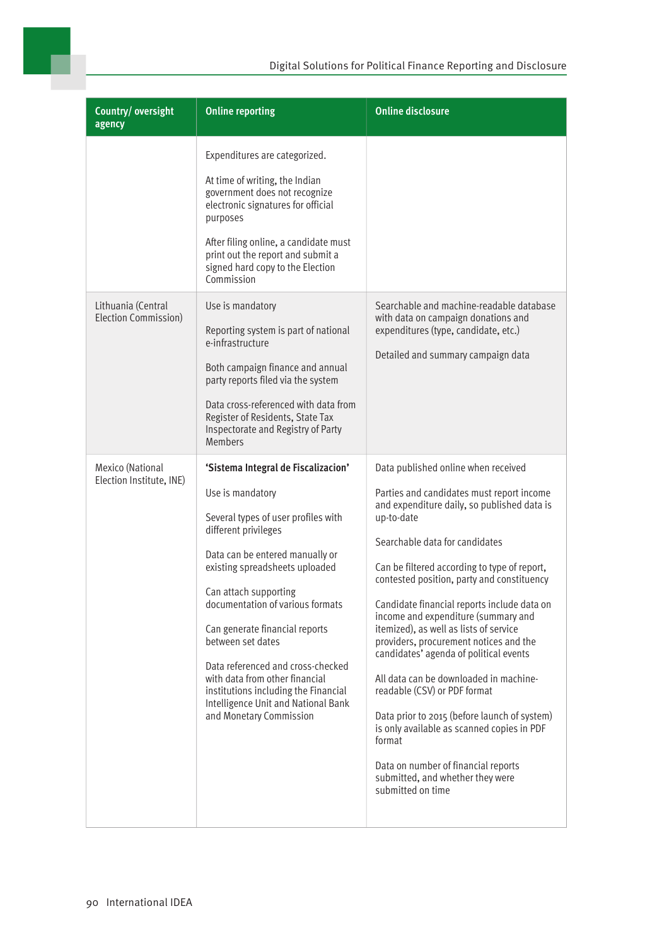

| Country/oversight<br>agency                  | <b>Online reporting</b>                                                                                                                                                                                                                                                                                                                                                                                                                                                                          | <b>Online disclosure</b>                                                                                                                                                                                                                                                                                                                                                                                                                                                                                                                                                                                                                                                                                                                                                            |
|----------------------------------------------|--------------------------------------------------------------------------------------------------------------------------------------------------------------------------------------------------------------------------------------------------------------------------------------------------------------------------------------------------------------------------------------------------------------------------------------------------------------------------------------------------|-------------------------------------------------------------------------------------------------------------------------------------------------------------------------------------------------------------------------------------------------------------------------------------------------------------------------------------------------------------------------------------------------------------------------------------------------------------------------------------------------------------------------------------------------------------------------------------------------------------------------------------------------------------------------------------------------------------------------------------------------------------------------------------|
|                                              | Expenditures are categorized.<br>At time of writing, the Indian<br>government does not recognize<br>electronic signatures for official<br>purposes<br>After filing online, a candidate must<br>print out the report and submit a<br>signed hard copy to the Election<br>Commission                                                                                                                                                                                                               |                                                                                                                                                                                                                                                                                                                                                                                                                                                                                                                                                                                                                                                                                                                                                                                     |
| Lithuania (Central<br>Election Commission)   | Use is mandatory<br>Reporting system is part of national<br>e-infrastructure<br>Both campaign finance and annual<br>party reports filed via the system<br>Data cross-referenced with data from<br>Register of Residents, State Tax<br>Inspectorate and Registry of Party<br><b>Members</b>                                                                                                                                                                                                       | Searchable and machine-readable database<br>with data on campaign donations and<br>expenditures (type, candidate, etc.)<br>Detailed and summary campaign data                                                                                                                                                                                                                                                                                                                                                                                                                                                                                                                                                                                                                       |
| Mexico (National<br>Election Institute, INE) | 'Sistema Integral de Fiscalizacion'<br>Use is mandatory<br>Several types of user profiles with<br>different privileges<br>Data can be entered manually or<br>existing spreadsheets uploaded<br>Can attach supporting<br>documentation of various formats<br>Can generate financial reports<br>between set dates<br>Data referenced and cross-checked<br>with data from other financial<br>institutions including the Financial<br>Intelligence Unit and National Bank<br>and Monetary Commission | Data published online when received<br>Parties and candidates must report income<br>and expenditure daily, so published data is<br>up-to-date<br>Searchable data for candidates<br>Can be filtered according to type of report,<br>contested position, party and constituency<br>Candidate financial reports include data on<br>income and expenditure (summary and<br>itemized), as well as lists of service<br>providers, procurement notices and the<br>candidates' agenda of political events<br>All data can be downloaded in machine-<br>readable (CSV) or PDF format<br>Data prior to 2015 (before launch of system)<br>is only available as scanned copies in PDF<br>format<br>Data on number of financial reports<br>submitted, and whether they were<br>submitted on time |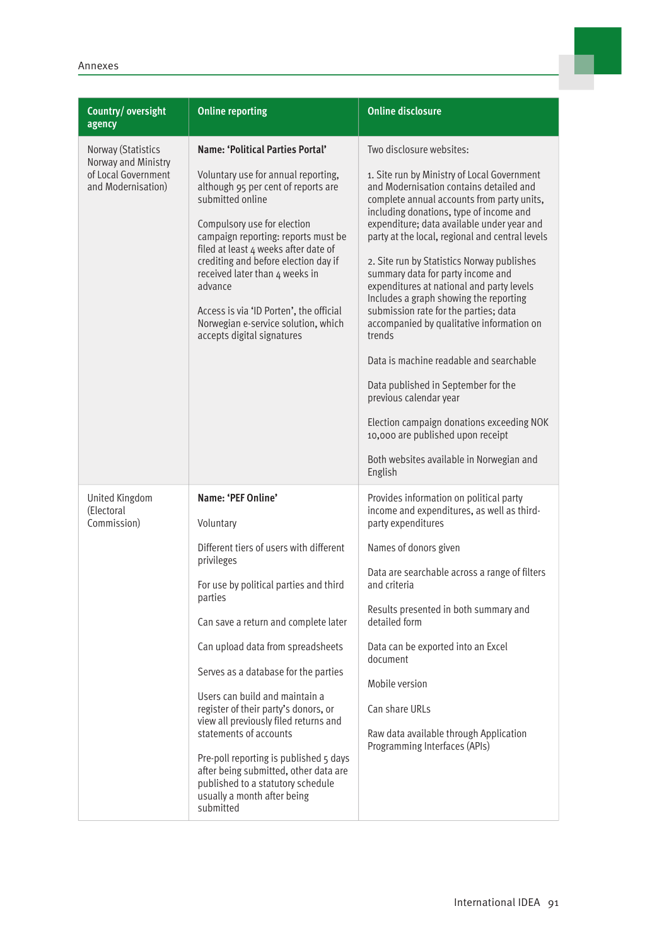| Country/oversight<br>agency                                                            | <b>Online reporting</b>                                                                                                                                                                                                                                                                                                                                                                                                                                                                                                                                                             | <b>Online disclosure</b>                                                                                                                                                                                                                                                                                                                                                                                                                                                                                                                                                                                                                                                                                                                                                                                                                    |
|----------------------------------------------------------------------------------------|-------------------------------------------------------------------------------------------------------------------------------------------------------------------------------------------------------------------------------------------------------------------------------------------------------------------------------------------------------------------------------------------------------------------------------------------------------------------------------------------------------------------------------------------------------------------------------------|---------------------------------------------------------------------------------------------------------------------------------------------------------------------------------------------------------------------------------------------------------------------------------------------------------------------------------------------------------------------------------------------------------------------------------------------------------------------------------------------------------------------------------------------------------------------------------------------------------------------------------------------------------------------------------------------------------------------------------------------------------------------------------------------------------------------------------------------|
| Norway (Statistics<br>Norway and Ministry<br>of Local Government<br>and Modernisation) | Name: 'Political Parties Portal'<br>Voluntary use for annual reporting,<br>although 95 per cent of reports are<br>submitted online<br>Compulsory use for election<br>campaign reporting: reports must be<br>filed at least 4 weeks after date of<br>crediting and before election day if<br>received later than 4 weeks in<br>advance<br>Access is via 'ID Porten', the official<br>Norwegian e-service solution, which<br>accepts digital signatures                                                                                                                               | Two disclosure websites:<br>1. Site run by Ministry of Local Government<br>and Modernisation contains detailed and<br>complete annual accounts from party units,<br>including donations, type of income and<br>expenditure; data available under year and<br>party at the local, regional and central levels<br>2. Site run by Statistics Norway publishes<br>summary data for party income and<br>expenditures at national and party levels<br>Includes a graph showing the reporting<br>submission rate for the parties; data<br>accompanied by qualitative information on<br>trends<br>Data is machine readable and searchable<br>Data published in September for the<br>previous calendar year<br>Election campaign donations exceeding NOK<br>10,000 are published upon receipt<br>Both websites available in Norwegian and<br>English |
| United Kingdom<br>(Electoral<br>Commission)                                            | Name: 'PEF Online'<br>Voluntary<br>Different tiers of users with different<br>privileges<br>For use by political parties and third<br>parties<br>Can save a return and complete later<br>Can upload data from spreadsheets<br>Serves as a database for the parties<br>Users can build and maintain a<br>register of their party's donors, or<br>view all previously filed returns and<br>statements of accounts<br>Pre-poll reporting is published 5 days<br>after being submitted, other data are<br>published to a statutory schedule<br>usually a month after being<br>submitted | Provides information on political party<br>income and expenditures, as well as third-<br>party expenditures<br>Names of donors given<br>Data are searchable across a range of filters<br>and criteria<br>Results presented in both summary and<br>detailed form<br>Data can be exported into an Excel<br>document<br>Mobile version<br>Can share URLs<br>Raw data available through Application<br>Programming Interfaces (APIs)                                                                                                                                                                                                                                                                                                                                                                                                            |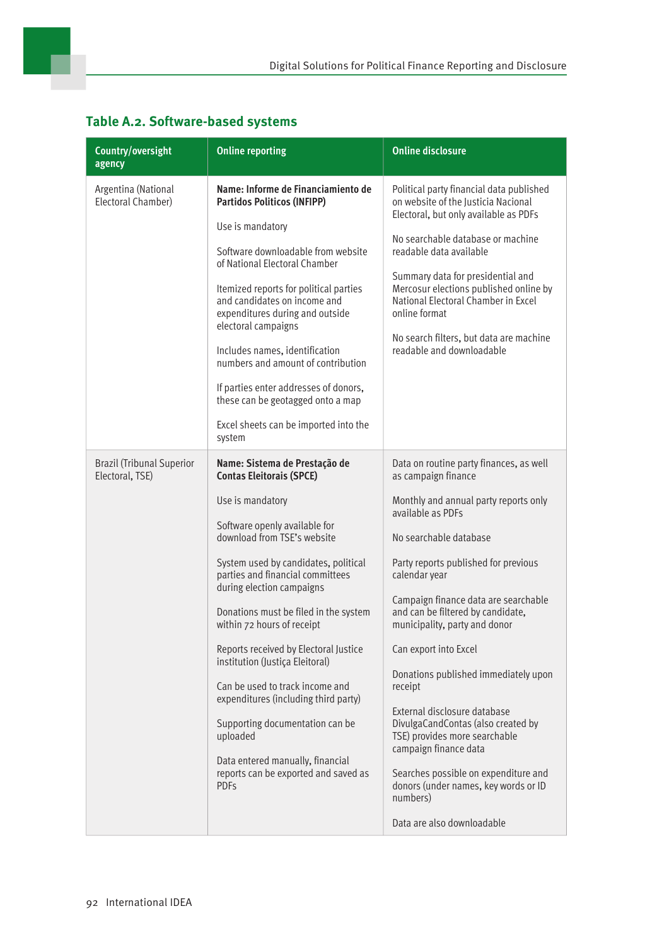| Country/oversight<br>agency                         | <b>Online reporting</b>                                                                                                                                                                                                                                                                                                                                                                                                                                                                                                                                                                                                               | <b>Online disclosure</b>                                                                                                                                                                                                                                                                                                                                                                                                                                                                                                                                                                                                                                            |
|-----------------------------------------------------|---------------------------------------------------------------------------------------------------------------------------------------------------------------------------------------------------------------------------------------------------------------------------------------------------------------------------------------------------------------------------------------------------------------------------------------------------------------------------------------------------------------------------------------------------------------------------------------------------------------------------------------|---------------------------------------------------------------------------------------------------------------------------------------------------------------------------------------------------------------------------------------------------------------------------------------------------------------------------------------------------------------------------------------------------------------------------------------------------------------------------------------------------------------------------------------------------------------------------------------------------------------------------------------------------------------------|
| Argentina (National<br>Electoral Chamber)           | Name: Informe de Financiamiento de<br><b>Partidos Politicos (INFIPP)</b><br>Use is mandatory<br>Software downloadable from website<br>of National Electoral Chamber<br>Itemized reports for political parties<br>and candidates on income and<br>expenditures during and outside<br>electoral campaigns<br>Includes names, identification<br>numbers and amount of contribution<br>If parties enter addresses of donors,<br>these can be geotagged onto a map<br>Excel sheets can be imported into the<br>system                                                                                                                      | Political party financial data published<br>on website of the Justicia Nacional<br>Electoral, but only available as PDFs<br>No searchable database or machine<br>readable data available<br>Summary data for presidential and<br>Mercosur elections published online by<br>National Electoral Chamber in Excel<br>online format<br>No search filters, but data are machine<br>readable and downloadable                                                                                                                                                                                                                                                             |
| <b>Brazil (Tribunal Superior</b><br>Electoral, TSE) | Name: Sistema de Prestação de<br><b>Contas Eleitorais (SPCE)</b><br>Use is mandatory<br>Software openly available for<br>download from TSE's website<br>System used by candidates, political<br>parties and financial committees<br>during election campaigns<br>Donations must be filed in the system<br>within 72 hours of receipt<br>Reports received by Electoral Justice<br>institution (Justiça Eleitoral)<br>Can be used to track income and<br>expenditures (including third party)<br>Supporting documentation can be<br>uploaded<br>Data entered manually, financial<br>reports can be exported and saved as<br><b>PDFs</b> | Data on routine party finances, as well<br>as campaign finance<br>Monthly and annual party reports only<br>available as PDFs<br>No searchable database<br>Party reports published for previous<br>calendar year<br>Campaign finance data are searchable<br>and can be filtered by candidate,<br>municipality, party and donor<br>Can export into Excel<br>Donations published immediately upon<br>receipt<br>External disclosure database<br>DivulgaCandContas (also created by<br>TSE) provides more searchable<br>campaign finance data<br>Searches possible on expenditure and<br>donors (under names, key words or ID<br>numbers)<br>Data are also downloadable |

#### **Table A.2. Software-based systems**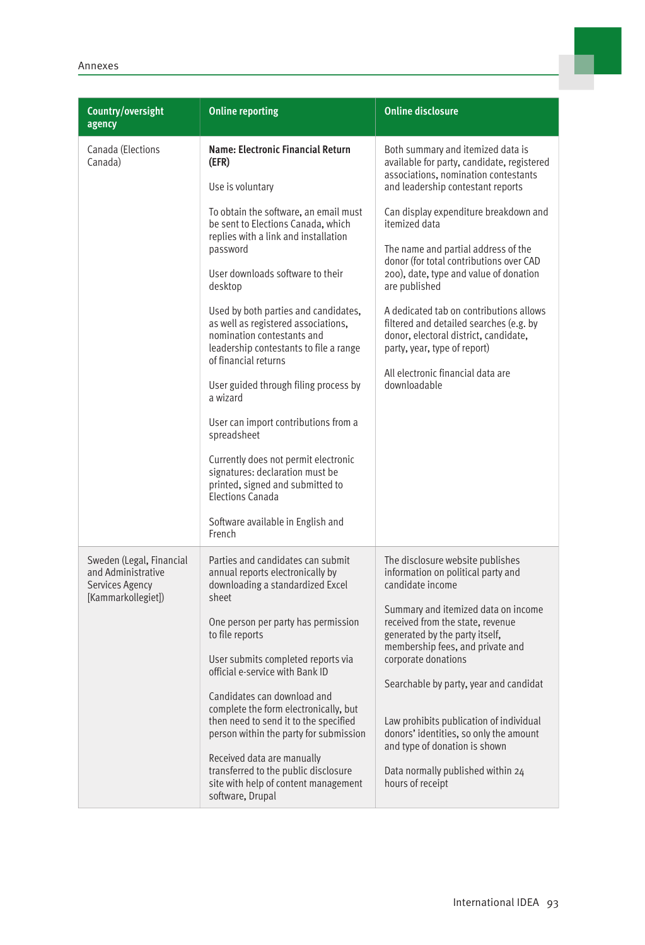| Country/oversight<br>agency                                                             | <b>Online reporting</b>                                                                                                                                                                                                                                                                                                                                                                                                                                                                                                                              | <b>Online disclosure</b>                                                                                                                                                                                                                                                                                                                                                                                                                                                                    |
|-----------------------------------------------------------------------------------------|------------------------------------------------------------------------------------------------------------------------------------------------------------------------------------------------------------------------------------------------------------------------------------------------------------------------------------------------------------------------------------------------------------------------------------------------------------------------------------------------------------------------------------------------------|---------------------------------------------------------------------------------------------------------------------------------------------------------------------------------------------------------------------------------------------------------------------------------------------------------------------------------------------------------------------------------------------------------------------------------------------------------------------------------------------|
| Canada (Elections<br>Canada)                                                            | Name: Electronic Financial Return<br>(EFR)<br>Use is voluntary                                                                                                                                                                                                                                                                                                                                                                                                                                                                                       | Both summary and itemized data is<br>available for party, candidate, registered<br>associations, nomination contestants<br>and leadership contestant reports                                                                                                                                                                                                                                                                                                                                |
|                                                                                         | To obtain the software, an email must<br>be sent to Elections Canada, which<br>replies with a link and installation<br>password<br>User downloads software to their<br>desktop<br>Used by both parties and candidates,<br>as well as registered associations,<br>nomination contestants and<br>leadership contestants to file a range<br>of financial returns<br>User guided through filing process by<br>a wizard<br>User can import contributions from a<br>spreadsheet<br>Currently does not permit electronic<br>signatures: declaration must be | Can display expenditure breakdown and<br>itemized data<br>The name and partial address of the<br>donor (for total contributions over CAD<br>200), date, type and value of donation<br>are published<br>A dedicated tab on contributions allows<br>filtered and detailed searches (e.g. by<br>donor, electoral district, candidate,<br>party, year, type of report)<br>All electronic financial data are<br>downloadable                                                                     |
|                                                                                         | printed, signed and submitted to<br><b>Elections Canada</b><br>Software available in English and<br>French                                                                                                                                                                                                                                                                                                                                                                                                                                           |                                                                                                                                                                                                                                                                                                                                                                                                                                                                                             |
| Sweden (Legal, Financial<br>and Administrative<br>Services Agency<br>[Kammarkollegiet]) | Parties and candidates can submit<br>annual reports electronically by<br>downloading a standardized Excel<br>sheet<br>One person per party has permission<br>to file reports<br>User submits completed reports via<br>official e-service with Bank ID<br>Candidates can download and<br>complete the form electronically, but<br>then need to send it to the specified<br>person within the party for submission<br>Received data are manually<br>transferred to the public disclosure<br>site with help of content management<br>software, Drupal   | The disclosure website publishes<br>information on political party and<br>candidate income<br>Summary and itemized data on income<br>received from the state, revenue<br>generated by the party itself,<br>membership fees, and private and<br>corporate donations<br>Searchable by party, year and candidat<br>Law prohibits publication of individual<br>donors' identities, so only the amount<br>and type of donation is shown<br>Data normally published within 24<br>hours of receipt |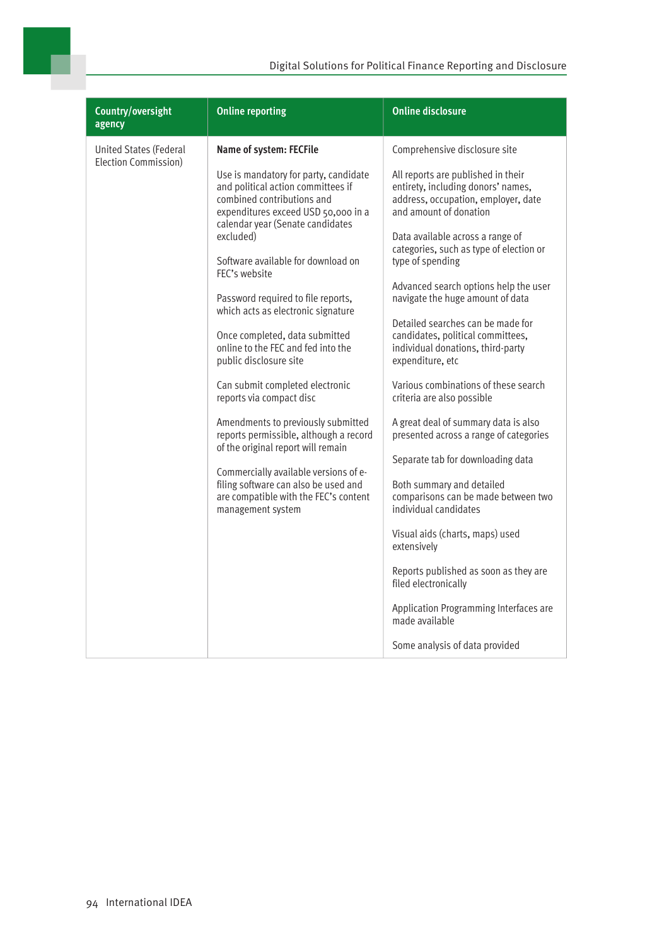| Country/oversight<br>agency                           | <b>Online reporting</b>                                                                                                                                                                                                                                                                                                                                                                                                                                                                                                                                                                                                                                                                                                                                                                               | <b>Online disclosure</b>                                                                                                                                                                                                                                                                                                                                                                                                                                                                                                                                                                                                                                                                                                                                                                                                                                                           |
|-------------------------------------------------------|-------------------------------------------------------------------------------------------------------------------------------------------------------------------------------------------------------------------------------------------------------------------------------------------------------------------------------------------------------------------------------------------------------------------------------------------------------------------------------------------------------------------------------------------------------------------------------------------------------------------------------------------------------------------------------------------------------------------------------------------------------------------------------------------------------|------------------------------------------------------------------------------------------------------------------------------------------------------------------------------------------------------------------------------------------------------------------------------------------------------------------------------------------------------------------------------------------------------------------------------------------------------------------------------------------------------------------------------------------------------------------------------------------------------------------------------------------------------------------------------------------------------------------------------------------------------------------------------------------------------------------------------------------------------------------------------------|
| <b>United States (Federal</b><br>Election Commission) | Name of system: FECFile<br>Use is mandatory for party, candidate<br>and political action committees if<br>combined contributions and<br>expenditures exceed USD 50,000 in a<br>calendar year (Senate candidates<br>excluded)<br>Software available for download on<br>FEC's website<br>Password required to file reports,<br>which acts as electronic signature<br>Once completed, data submitted<br>online to the FEC and fed into the<br>public disclosure site<br>Can submit completed electronic<br>reports via compact disc<br>Amendments to previously submitted<br>reports permissible, although a record<br>of the original report will remain<br>Commercially available versions of e-<br>filing software can also be used and<br>are compatible with the FEC's content<br>management system | Comprehensive disclosure site<br>All reports are published in their<br>entirety, including donors' names,<br>address, occupation, employer, date<br>and amount of donation<br>Data available across a range of<br>categories, such as type of election or<br>type of spending<br>Advanced search options help the user<br>navigate the huge amount of data<br>Detailed searches can be made for<br>candidates, political committees,<br>individual donations, third-party<br>expenditure, etc<br>Various combinations of these search<br>criteria are also possible<br>A great deal of summary data is also<br>presented across a range of categories<br>Separate tab for downloading data<br>Both summary and detailed<br>comparisons can be made between two<br>individual candidates<br>Visual aids (charts, maps) used<br>extensively<br>Reports published as soon as they are |
|                                                       |                                                                                                                                                                                                                                                                                                                                                                                                                                                                                                                                                                                                                                                                                                                                                                                                       | filed electronically<br>Application Programming Interfaces are<br>made available<br>Some analysis of data provided                                                                                                                                                                                                                                                                                                                                                                                                                                                                                                                                                                                                                                                                                                                                                                 |

×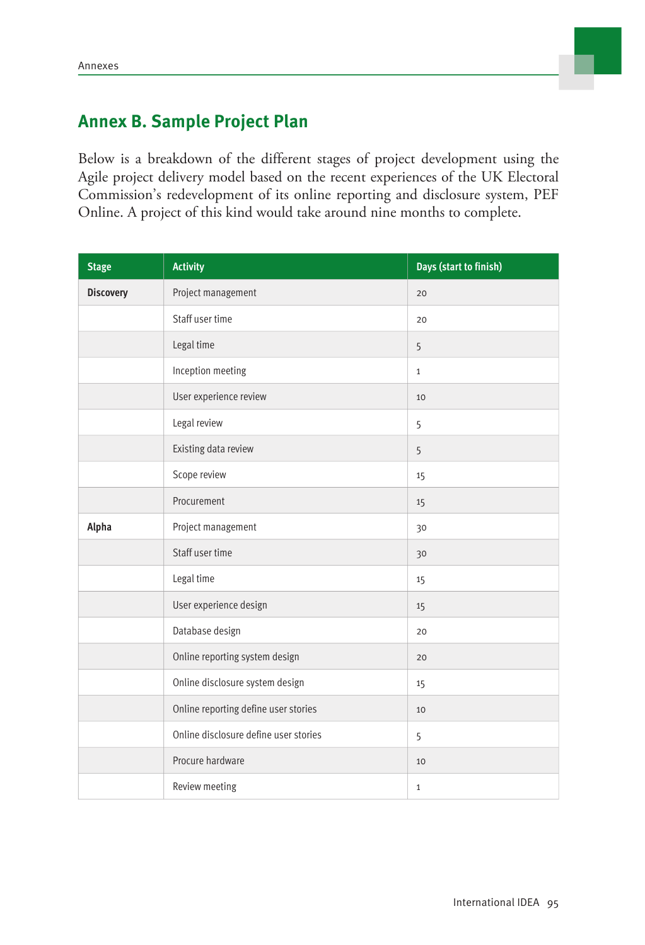

# **Annex B. Sample Project Plan**

Below is a breakdown of the different stages of project development using the Agile project delivery model based on the recent experiences of the UK Electoral Commission's redevelopment of its online reporting and disclosure system, PEF Online. A project of this kind would take around nine months to complete.

| <b>Stage</b>     | <b>Activity</b>                       | Days (start to finish) |
|------------------|---------------------------------------|------------------------|
| <b>Discovery</b> | Project management                    | 20                     |
|                  | Staff user time                       | 20                     |
|                  | Legal time                            | 5                      |
|                  | Inception meeting                     | $\mathbf{1}$           |
|                  | User experience review                | 10                     |
|                  | Legal review                          | 5                      |
|                  | Existing data review                  | 5                      |
|                  | Scope review                          | 15                     |
|                  | Procurement                           | 15                     |
| Alpha            | Project management                    | 30                     |
|                  | Staff user time                       | 30                     |
|                  | Legal time                            | 15                     |
|                  | User experience design                | 15                     |
|                  | Database design                       | 20                     |
|                  | Online reporting system design        | 20                     |
|                  | Online disclosure system design       | 15                     |
|                  | Online reporting define user stories  | 10                     |
|                  | Online disclosure define user stories | 5                      |
|                  | Procure hardware                      | 10                     |
|                  | Review meeting                        | $\mathbf{1}$           |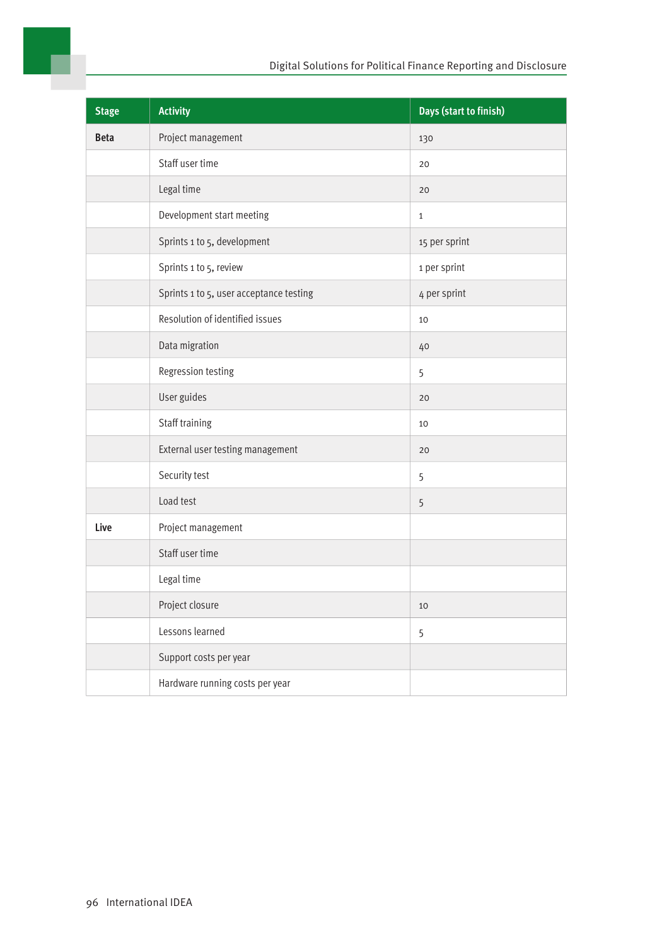

| <b>Stage</b> | <b>Activity</b>                         | Days (start to finish) |
|--------------|-----------------------------------------|------------------------|
| <b>Beta</b>  | Project management                      | 130                    |
|              | Staff user time                         | 20                     |
|              | Legal time                              | 20                     |
|              | Development start meeting               | $\mathbf{1}$           |
|              | Sprints 1 to 5, development             | 15 per sprint          |
|              | Sprints 1 to 5, review                  | 1 per sprint           |
|              | Sprints 1 to 5, user acceptance testing | 4 per sprint           |
|              | Resolution of identified issues         | 10                     |
|              | Data migration                          | 40                     |
|              | Regression testing                      | 5                      |
|              | User guides                             | 20                     |
|              | Staff training                          | 10                     |
|              | External user testing management        | 20                     |
|              | Security test                           | 5                      |
|              | Load test                               | 5                      |
| Live         | Project management                      |                        |
|              | Staff user time                         |                        |
|              | Legal time                              |                        |
|              | Project closure                         | 10                     |
|              | Lessons learned                         | 5                      |
|              | Support costs per year                  |                        |
|              | Hardware running costs per year         |                        |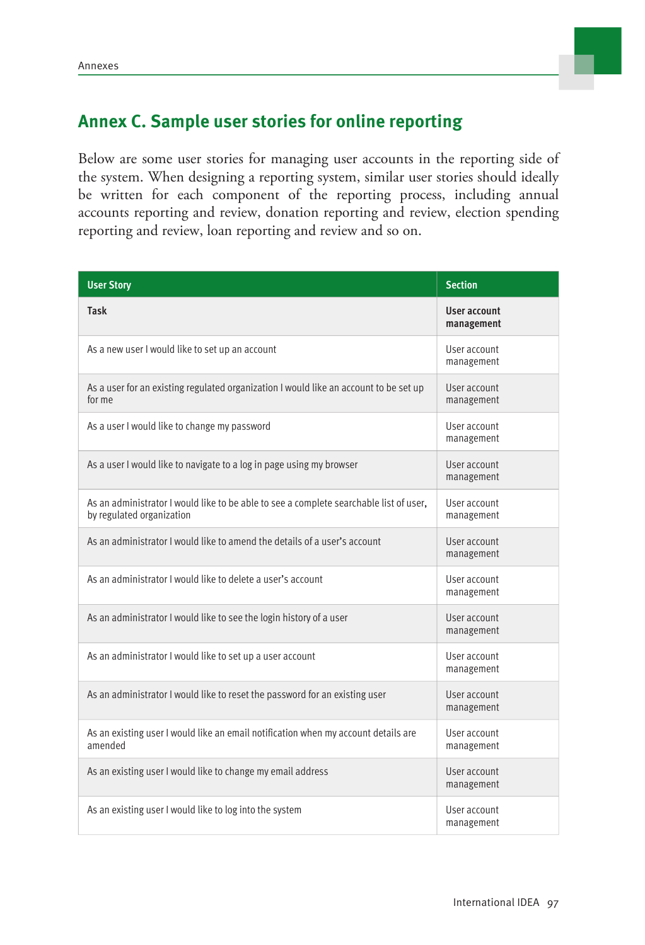

## **Annex C. Sample user stories for online reporting**

Below are some user stories for managing user accounts in the reporting side of the system. When designing a reporting system, similar user stories should ideally be written for each component of the reporting process, including annual accounts reporting and review, donation reporting and review, election spending reporting and review, loan reporting and review and so on.

| <b>User Story</b>                                                                                                   | <b>Section</b>                    |
|---------------------------------------------------------------------------------------------------------------------|-----------------------------------|
| <b>Task</b>                                                                                                         | <b>User account</b><br>management |
| As a new user I would like to set up an account                                                                     | User account<br>management        |
| As a user for an existing regulated organization I would like an account to be set up<br>for me                     | User account<br>management        |
| As a user I would like to change my password                                                                        | User account<br>management        |
| As a user I would like to navigate to a log in page using my browser                                                | User account<br>management        |
| As an administrator I would like to be able to see a complete searchable list of user,<br>by regulated organization | User account<br>management        |
| As an administrator I would like to amend the details of a user's account                                           | User account<br>management        |
| As an administrator I would like to delete a user's account                                                         | User account<br>management        |
| As an administrator I would like to see the login history of a user                                                 | User account<br>management        |
| As an administrator I would like to set up a user account                                                           | User account<br>management        |
| As an administrator I would like to reset the password for an existing user                                         | User account<br>management        |
| As an existing user I would like an email notification when my account details are<br>amended                       | User account<br>management        |
| As an existing user I would like to change my email address                                                         | User account<br>management        |
| As an existing user I would like to log into the system                                                             | User account<br>management        |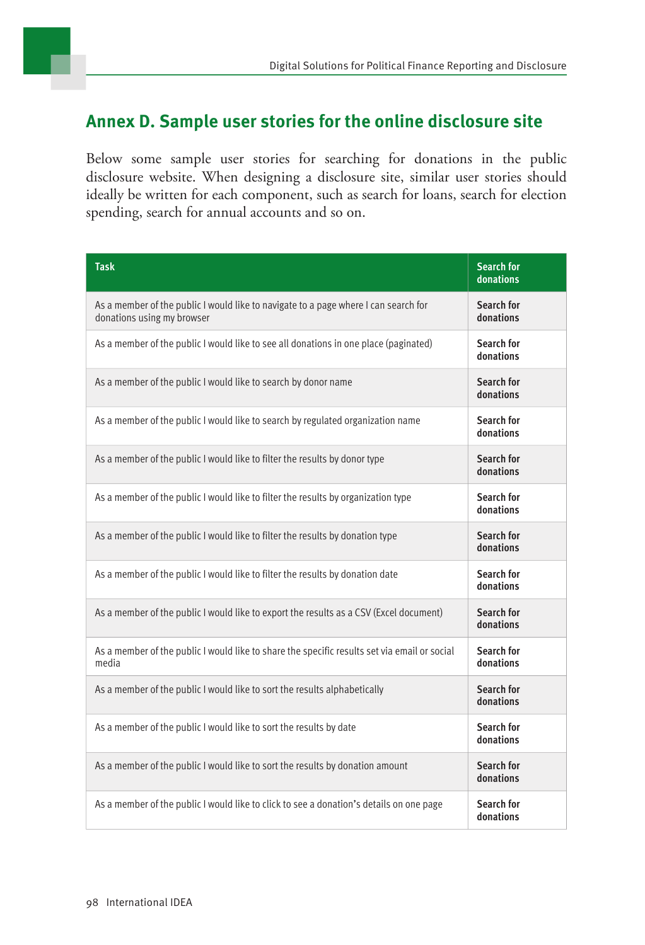## **Annex D. Sample user stories for the online disclosure site**

Below some sample user stories for searching for donations in the public disclosure website. When designing a disclosure site, similar user stories should ideally be written for each component, such as search for loans, search for election spending, search for annual accounts and so on.

| <b>Task</b>                                                                                                       | <b>Search for</b><br>donations |
|-------------------------------------------------------------------------------------------------------------------|--------------------------------|
| As a member of the public I would like to navigate to a page where I can search for<br>donations using my browser | Search for<br>donations        |
| As a member of the public I would like to see all donations in one place (paginated)                              | Search for<br>donations        |
| As a member of the public I would like to search by donor name                                                    | Search for<br>donations        |
| As a member of the public I would like to search by regulated organization name                                   | Search for<br>donations        |
| As a member of the public I would like to filter the results by donor type                                        | Search for<br>donations        |
| As a member of the public I would like to filter the results by organization type                                 | Search for<br>donations        |
| As a member of the public I would like to filter the results by donation type                                     | Search for<br>donations        |
| As a member of the public I would like to filter the results by donation date                                     | Search for<br>donations        |
| As a member of the public I would like to export the results as a CSV (Excel document)                            | Search for<br>donations        |
| As a member of the public I would like to share the specific results set via email or social<br>media             | Search for<br>donations        |
| As a member of the public I would like to sort the results alphabetically                                         | Search for<br>donations        |
| As a member of the public I would like to sort the results by date                                                | Search for<br>donations        |
| As a member of the public I would like to sort the results by donation amount                                     | Search for<br>donations        |
| As a member of the public I would like to click to see a donation's details on one page                           | Search for<br>donations        |